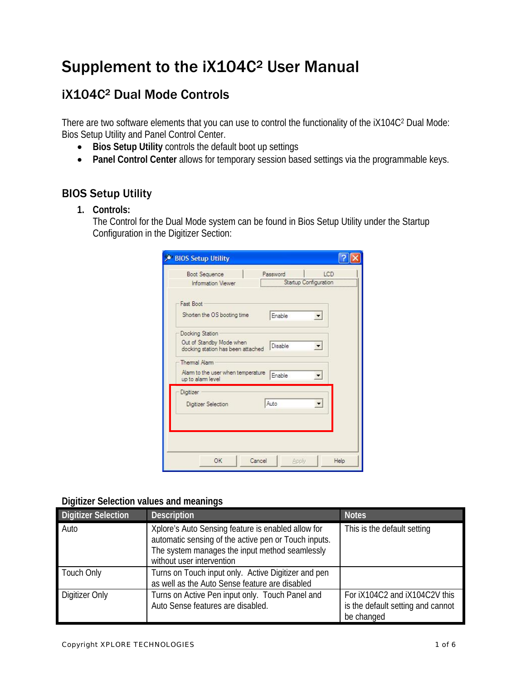# Supplement to the iX104C2 User Manual

## iX104C2 Dual Mode Controls

There are two software elements that you can use to control the functionality of the iX104C2 Dual Mode: Bios Setup Utility and Panel Control Center.

- **Bios Setup Utility** controls the default boot up settings
- **Panel Control Center** allows for temporary session based settings via the programmable keys.

## BIOS Setup Utility

**1. Controls:** 

The Control for the Dual Mode system can be found in Bios Setup Utility under the Startup Configuration in the Digitizer Section:

| <b>Boot Sequence</b>                                          | Password | ICD                   |
|---------------------------------------------------------------|----------|-----------------------|
| Information Viewer                                            |          | Startup Configuration |
| Fast Boot                                                     |          |                       |
| Shorten the OS booting time                                   | Enable   |                       |
| Docking Station                                               |          |                       |
| Out of Standby Mode when<br>docking station has been attached | Disable  |                       |
| Thermal Alarm                                                 |          |                       |
| Alam to the user when temperature<br>up to alarm level        | Enable   |                       |
| Digitizer                                                     |          |                       |
| Digitizer Selection                                           | Auto     |                       |
|                                                               |          |                       |
|                                                               |          |                       |
|                                                               |          |                       |

#### **Digitizer Selection values and meanings**

| <b>Digitizer Selection</b> | <b>Description</b>                                                                                                                                                                        | <b>Notes</b>                                                                     |
|----------------------------|-------------------------------------------------------------------------------------------------------------------------------------------------------------------------------------------|----------------------------------------------------------------------------------|
| Auto                       | Xplore's Auto Sensing feature is enabled allow for<br>automatic sensing of the active pen or Touch inputs.<br>The system manages the input method seamlessly<br>without user intervention | This is the default setting                                                      |
| Touch Only                 | Turns on Touch input only. Active Digitizer and pen<br>as well as the Auto Sense feature are disabled                                                                                     |                                                                                  |
| Digitizer Only             | Turns on Active Pen input only. Touch Panel and<br>Auto Sense features are disabled.                                                                                                      | For iX104C2 and iX104C2V this<br>is the default setting and cannot<br>be changed |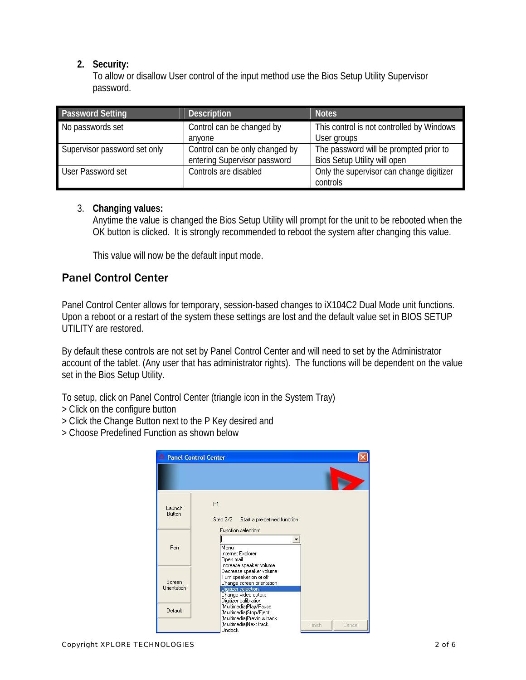#### **2. Security:**

To allow or disallow User control of the input method use the Bios Setup Utility Supervisor password.

| <b>Password Setting</b>      | <b>Description</b>                                             | <b>Notes</b>                                                           |
|------------------------------|----------------------------------------------------------------|------------------------------------------------------------------------|
| No passwords set             | Control can be changed by<br>anvone                            | This control is not controlled by Windows<br>User groups               |
| Supervisor password set only | Control can be only changed by<br>entering Supervisor password | The password will be prompted prior to<br>Bios Setup Utility will open |
| User Password set            | Controls are disabled                                          | Only the supervisor can change digitizer<br>controls                   |

#### 3. **Changing values:**

Anytime the value is changed the Bios Setup Utility will prompt for the unit to be rebooted when the OK button is clicked. It is strongly recommended to reboot the system after changing this value.

This value will now be the default input mode.

### Panel Control Center

Panel Control Center allows for temporary, session-based changes to iX104C2 Dual Mode unit functions. Upon a reboot or a restart of the system these settings are lost and the default value set in BIOS SETUP UTILITY are restored.

By default these controls are not set by Panel Control Center and will need to set by the Administrator account of the tablet. (Any user that has administrator rights). The functions will be dependent on the value set in the Bios Setup Utility.

To setup, click on Panel Control Center (triangle icon in the System Tray)

- > Click on the configure button
- > Click the Change Button next to the P Key desired and
- > Choose Predefined Function as shown below

| <b>Panel Control Center</b>  |                                                                                                                                                                                  |                  |
|------------------------------|----------------------------------------------------------------------------------------------------------------------------------------------------------------------------------|------------------|
|                              |                                                                                                                                                                                  |                  |
| Launch<br><b>Button</b>      | P1<br>Step 2/2 Start a pre-defined function<br>Function selection:                                                                                                               |                  |
| Pen                          | Menu<br>Internet Explorer<br>Open mail                                                                                                                                           |                  |
| Screen<br><b>Orientation</b> | Increase speaker volume<br>Decrease speaker volume<br>Turn speaker on or off<br>Change screen orientation<br>Digitizer selection<br>Change video output<br>Digitizer calibration |                  |
| Default                      | (Multimedia)Play/Pause<br>(Multimedia)Stop/Eject<br>(Multimedia)Previous track<br>(Multimedia)Next track<br><b>Undock</b>                                                        | Finish<br>Cancel |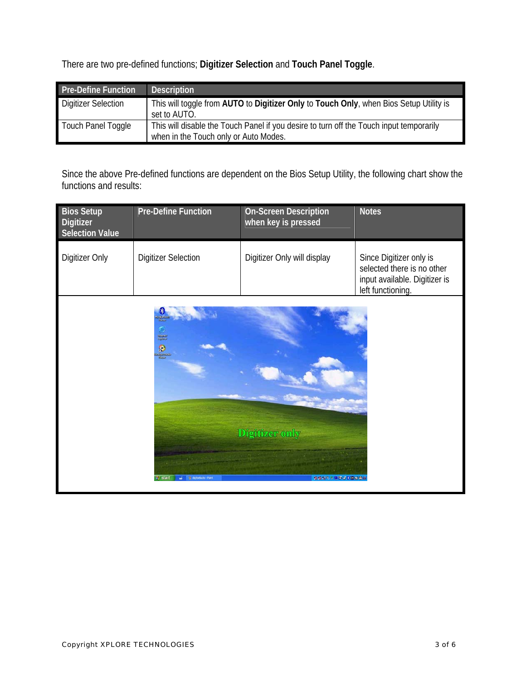There are two pre-defined functions; **Digitizer Selection** and **Touch Panel Toggle**.

| <b>Pre-Define Function</b> | <b>Description</b>                                                                                                               |
|----------------------------|----------------------------------------------------------------------------------------------------------------------------------|
| <b>Digitizer Selection</b> | This will toggle from AUTO to Digitizer Only to Touch Only, when Bios Setup Utility is<br>set to AUTO.                           |
| Touch Panel Toggle         | This will disable the Touch Panel if you desire to turn off the Touch input temporarily<br>when in the Touch only or Auto Modes. |

Since the above Pre-defined functions are dependent on the Bios Setup Utility, the following chart show the functions and results:

| <b>Bios Setup</b><br><b>Digitizer</b><br><b>Selection Value</b> | <b>Pre-Define Function</b>                  | <b>On-Screen Description</b><br>when key is pressed | <b>Notes</b>                                                                                                |
|-----------------------------------------------------------------|---------------------------------------------|-----------------------------------------------------|-------------------------------------------------------------------------------------------------------------|
| Digitizer Only                                                  | <b>Digitizer Selection</b>                  | Digitizer Only will display                         | Since Digitizer only is<br>selected there is no other<br>input available. Digitizer is<br>left functioning. |
|                                                                 | allande<br>Historia<br>$\frac{1}{\sqrt{2}}$ |                                                     |                                                                                                             |
|                                                                 |                                             | <b>Digitizer only</b>                               |                                                                                                             |
|                                                                 | stari                                       | ゆゆ リット 国名 じゅのじゅ                                     |                                                                                                             |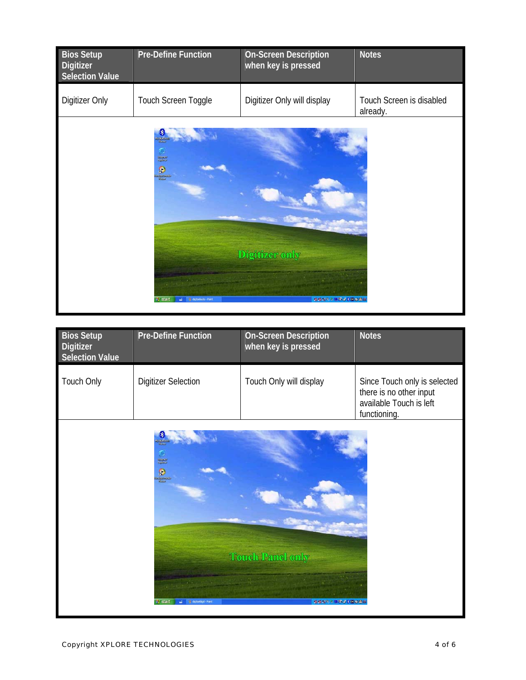| <b>Bios Setup</b><br>Digitizer<br>Selection Value | <b>Pre-Define Function</b>                                                          | <b>On-Screen Description</b><br>when key is pressed | <b>Notes</b>                         |
|---------------------------------------------------|-------------------------------------------------------------------------------------|-----------------------------------------------------|--------------------------------------|
| Digitizer Only                                    | Touch Screen Toggle                                                                 | Digitizer Only will display                         | Touch Screen is disabled<br>already. |
|                                                   | ъ<br>international<br>Anglicker<br>$\frac{1}{2}$<br>start<br>15 destudiario - Paint | Digitizer only<br>● 東京 ※ ※ ※ ※ ※ ※ ※ ※ ※ ※ ※ ※ ※    |                                      |

| <b>Bios Setup</b><br>Digitizer<br><b>Selection Value</b> | <b>Pre-Define Function</b>                                                       | <b>On-Screen Description</b><br>when key is pressed      | <b>Notes</b>                                                                                       |
|----------------------------------------------------------|----------------------------------------------------------------------------------|----------------------------------------------------------|----------------------------------------------------------------------------------------------------|
| Touch Only                                               | <b>Digitizer Selection</b>                                                       | Touch Only will display                                  | Since Touch only is selected<br>there is no other input<br>available Touch is left<br>functioning. |
|                                                          | ъ<br>alianse<br>Againse<br>$\bullet$<br><b>Samuel St</b><br><b>BSAM</b><br>start | <b>Touch Panel only</b><br>● 後半 <sup>の を</sup> 障害、38回 38 |                                                                                                    |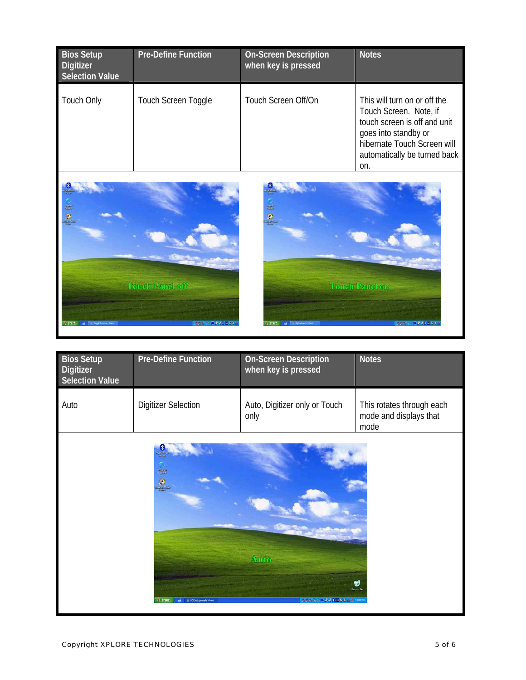| <b>Bios Setup</b><br>Digitizer<br><b>Selection Value</b> | <b>Pre-Define Function</b> | <b>On-Screen Description</b><br>when key is pressed | <b>Notes</b>                                                                                                                                                                         |
|----------------------------------------------------------|----------------------------|-----------------------------------------------------|--------------------------------------------------------------------------------------------------------------------------------------------------------------------------------------|
| <b>Touch Only</b>                                        | Touch Screen Toggle        | Touch Screen Off/On                                 | This will turn on or off the<br>Touch Screen. Note, if<br>touch screen is off and unit<br>goes into standby or<br>hibernate Touch Screen will<br>automatically be turned back<br>on. |





| <b>Bios Setup</b><br>Digitizer<br><b>Selection Value</b> | <b>Pre-Define Function</b>                                              | <b>On-Screen Description</b><br>when key is pressed | <b>Notes</b>                                                |
|----------------------------------------------------------|-------------------------------------------------------------------------|-----------------------------------------------------|-------------------------------------------------------------|
| Auto                                                     | <b>Digitizer Selection</b>                                              | Auto, Digitizer only or Touch<br>only               | This rotates through each<br>mode and displays that<br>mode |
|                                                          | <b>Signal</b><br>$\bullet$<br><b>I</b> start<br>IL PCCortunamele - Pain | Auto<br>● 多重型 3 国务局 3 国际公共总署 1101                   | B<br>tecycle IN                                             |